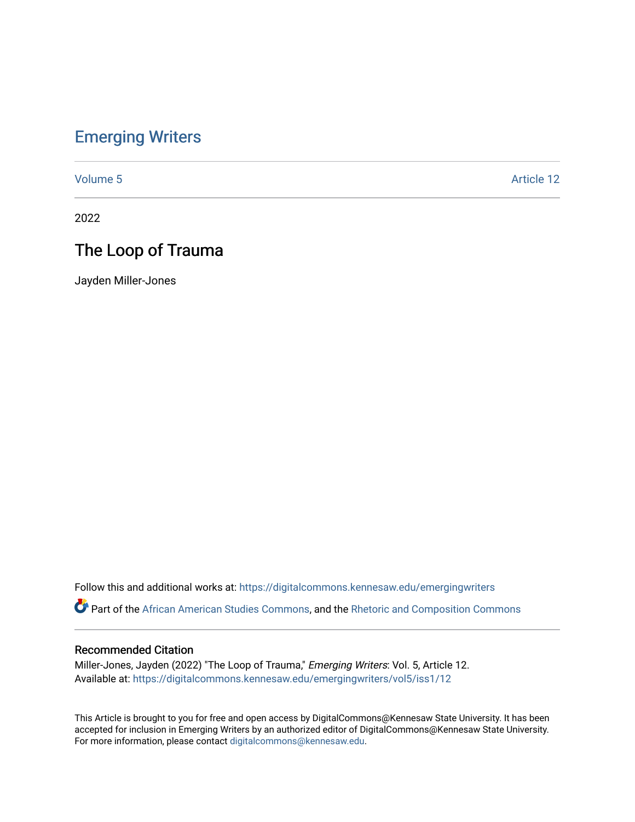### [Emerging Writers](https://digitalcommons.kennesaw.edu/emergingwriters)

[Volume 5](https://digitalcommons.kennesaw.edu/emergingwriters/vol5) Article 12

2022

## The Loop of Trauma

Jayden Miller-Jones

Follow this and additional works at: [https://digitalcommons.kennesaw.edu/emergingwriters](https://digitalcommons.kennesaw.edu/emergingwriters?utm_source=digitalcommons.kennesaw.edu%2Femergingwriters%2Fvol5%2Fiss1%2F12&utm_medium=PDF&utm_campaign=PDFCoverPages) 

Part of the [African American Studies Commons,](http://network.bepress.com/hgg/discipline/567?utm_source=digitalcommons.kennesaw.edu%2Femergingwriters%2Fvol5%2Fiss1%2F12&utm_medium=PDF&utm_campaign=PDFCoverPages) and the [Rhetoric and Composition Commons](http://network.bepress.com/hgg/discipline/573?utm_source=digitalcommons.kennesaw.edu%2Femergingwriters%2Fvol5%2Fiss1%2F12&utm_medium=PDF&utm_campaign=PDFCoverPages)

#### Recommended Citation

Miller-Jones, Jayden (2022) "The Loop of Trauma," Emerging Writers: Vol. 5, Article 12. Available at: [https://digitalcommons.kennesaw.edu/emergingwriters/vol5/iss1/12](https://digitalcommons.kennesaw.edu/emergingwriters/vol5/iss1/12?utm_source=digitalcommons.kennesaw.edu%2Femergingwriters%2Fvol5%2Fiss1%2F12&utm_medium=PDF&utm_campaign=PDFCoverPages)

This Article is brought to you for free and open access by DigitalCommons@Kennesaw State University. It has been accepted for inclusion in Emerging Writers by an authorized editor of DigitalCommons@Kennesaw State University. For more information, please contact [digitalcommons@kennesaw.edu.](mailto:digitalcommons@kennesaw.edu)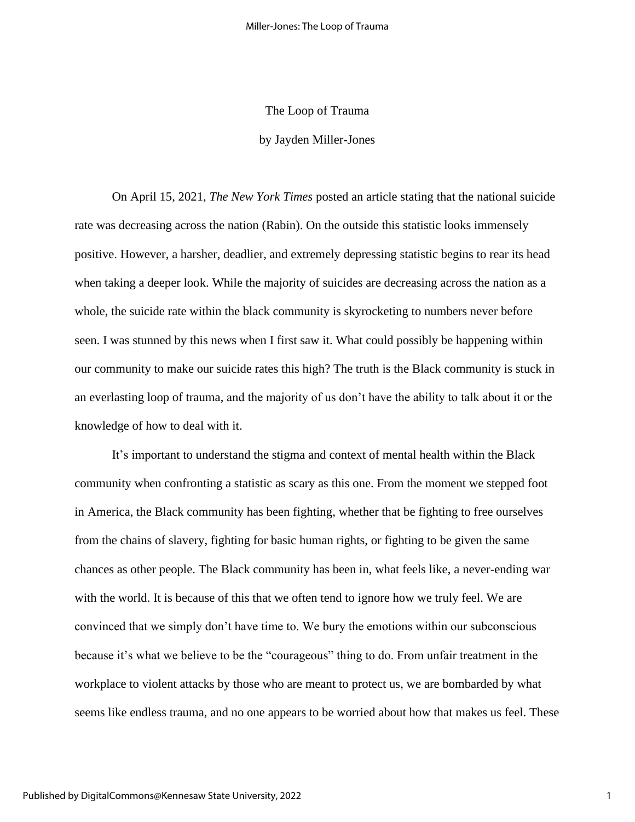# The Loop of Trauma by Jayden Miller-Jones

On April 15, 2021, *The New York Times* posted an article stating that the national suicide rate was decreasing across the nation (Rabin). On the outside this statistic looks immensely positive. However, a harsher, deadlier, and extremely depressing statistic begins to rear its head when taking a deeper look. While the majority of suicides are decreasing across the nation as a whole, the suicide rate within the black community is skyrocketing to numbers never before seen. I was stunned by this news when I first saw it. What could possibly be happening within our community to make our suicide rates this high? The truth is the Black community is stuck in an everlasting loop of trauma, and the majority of us don't have the ability to talk about it or the knowledge of how to deal with it.

It's important to understand the stigma and context of mental health within the Black community when confronting a statistic as scary as this one. From the moment we stepped foot in America, the Black community has been fighting, whether that be fighting to free ourselves from the chains of slavery, fighting for basic human rights, or fighting to be given the same chances as other people. The Black community has been in, what feels like, a never-ending war with the world. It is because of this that we often tend to ignore how we truly feel. We are convinced that we simply don't have time to. We bury the emotions within our subconscious because it's what we believe to be the "courageous" thing to do. From unfair treatment in the workplace to violent attacks by those who are meant to protect us, we are bombarded by what seems like endless trauma, and no one appears to be worried about how that makes us feel. These

1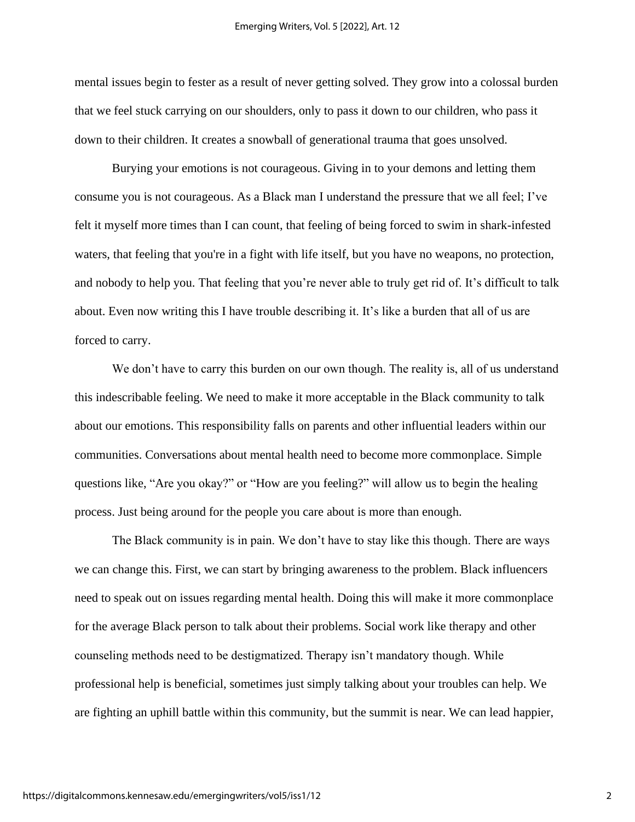mental issues begin to fester as a result of never getting solved. They grow into a colossal burden that we feel stuck carrying on our shoulders, only to pass it down to our children, who pass it down to their children. It creates a snowball of generational trauma that goes unsolved.

Burying your emotions is not courageous. Giving in to your demons and letting them consume you is not courageous. As a Black man I understand the pressure that we all feel; I've felt it myself more times than I can count, that feeling of being forced to swim in shark-infested waters, that feeling that you're in a fight with life itself, but you have no weapons, no protection, and nobody to help you. That feeling that you're never able to truly get rid of. It's difficult to talk about. Even now writing this I have trouble describing it. It's like a burden that all of us are forced to carry.

We don't have to carry this burden on our own though. The reality is, all of us understand this indescribable feeling. We need to make it more acceptable in the Black community to talk about our emotions. This responsibility falls on parents and other influential leaders within our communities. Conversations about mental health need to become more commonplace. Simple questions like, "Are you okay?" or "How are you feeling?" will allow us to begin the healing process. Just being around for the people you care about is more than enough.

The Black community is in pain. We don't have to stay like this though. There are ways we can change this. First, we can start by bringing awareness to the problem. Black influencers need to speak out on issues regarding mental health. Doing this will make it more commonplace for the average Black person to talk about their problems. Social work like therapy and other counseling methods need to be destigmatized. Therapy isn't mandatory though. While professional help is beneficial, sometimes just simply talking about your troubles can help. We are fighting an uphill battle within this community, but the summit is near. We can lead happier,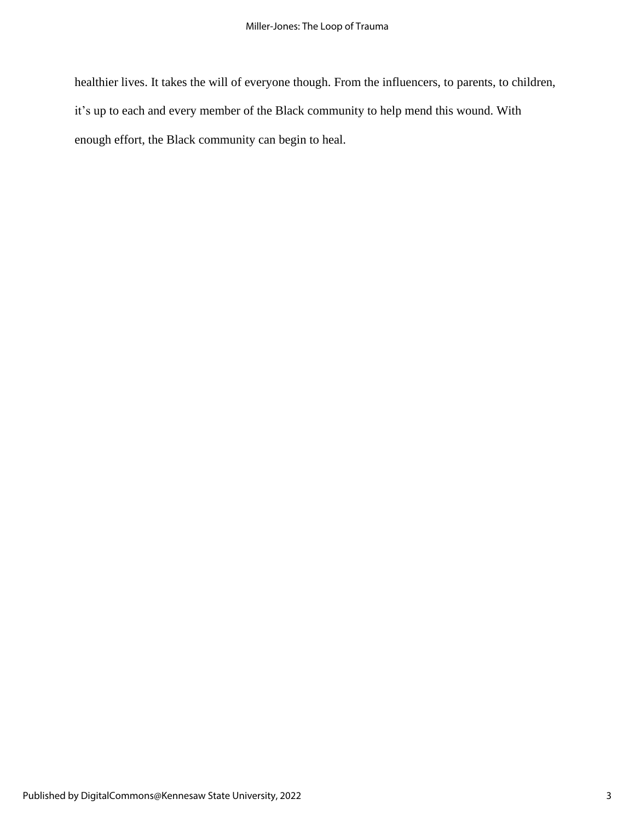healthier lives. It takes the will of everyone though. From the influencers, to parents, to children, it's up to each and every member of the Black community to help mend this wound. With enough effort, the Black community can begin to heal.